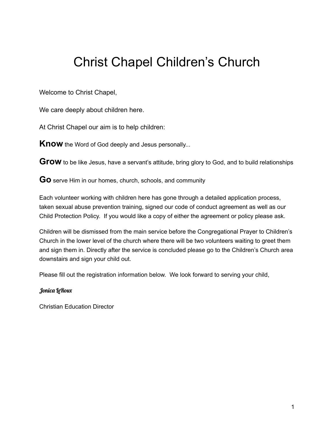## Christ Chapel Children's Church

Welcome to Christ Chapel,

We care deeply about children here.

At Christ Chapel our aim is to help children:

**Know** the Word of God deeply and Jesus personally...

Grow to be like Jesus, have a servant's attitude, bring glory to God, and to build relationships

**Go** serve Him in our homes, church, schools, and community

Each volunteer working with children here has gone through a detailed application process, taken sexual abuse prevention training, signed our code of conduct agreement as well as our Child Protection Policy. If you would like a copy of either the agreement or policy please ask.

Children will be dismissed from the main service before the Congregational Prayer to Children's Church in the lower level of the church where there will be two volunteers waiting to greet them and sign them in. Directly after the service is concluded please go to the Children's Church area downstairs and sign your child out.

Please fill out the registration information below. We look forward to serving your child,

## Jonica LeRoux

Christian Education Director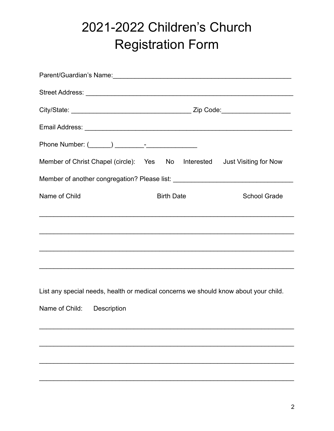## 2021-2022 Children's Church **Registration Form**

| Parent/Guardian's Name: 1997 - 1997 - 1998 - 1998 - 1999 - 1999 - 1999 - 1999 - 1999 - 1999 - 1999 - 1999 - 1 |                   |                     |  |
|---------------------------------------------------------------------------------------------------------------|-------------------|---------------------|--|
|                                                                                                               |                   |                     |  |
|                                                                                                               |                   |                     |  |
|                                                                                                               |                   |                     |  |
|                                                                                                               |                   |                     |  |
| Member of Christ Chapel (circle): Yes No Interested Just Visiting for Now                                     |                   |                     |  |
| Member of another congregation? Please list: ___________________________________                              |                   |                     |  |
| Name of Child                                                                                                 | <b>Birth Date</b> | <b>School Grade</b> |  |
|                                                                                                               |                   |                     |  |
| ,我们也不会有什么。""我们的人,我们也不会有什么?""我们的人,我们也不会有什么?""我们的人,我们也不会有什么?""我们的人,我们也不会有什么?""我们的人                              |                   |                     |  |
|                                                                                                               |                   |                     |  |
|                                                                                                               |                   |                     |  |
|                                                                                                               |                   |                     |  |
| List any special needs, health or medical concerns we should know about your child.                           |                   |                     |  |
| Name of Child:<br>Description                                                                                 |                   |                     |  |
|                                                                                                               |                   |                     |  |
|                                                                                                               |                   |                     |  |
|                                                                                                               |                   |                     |  |
|                                                                                                               |                   |                     |  |